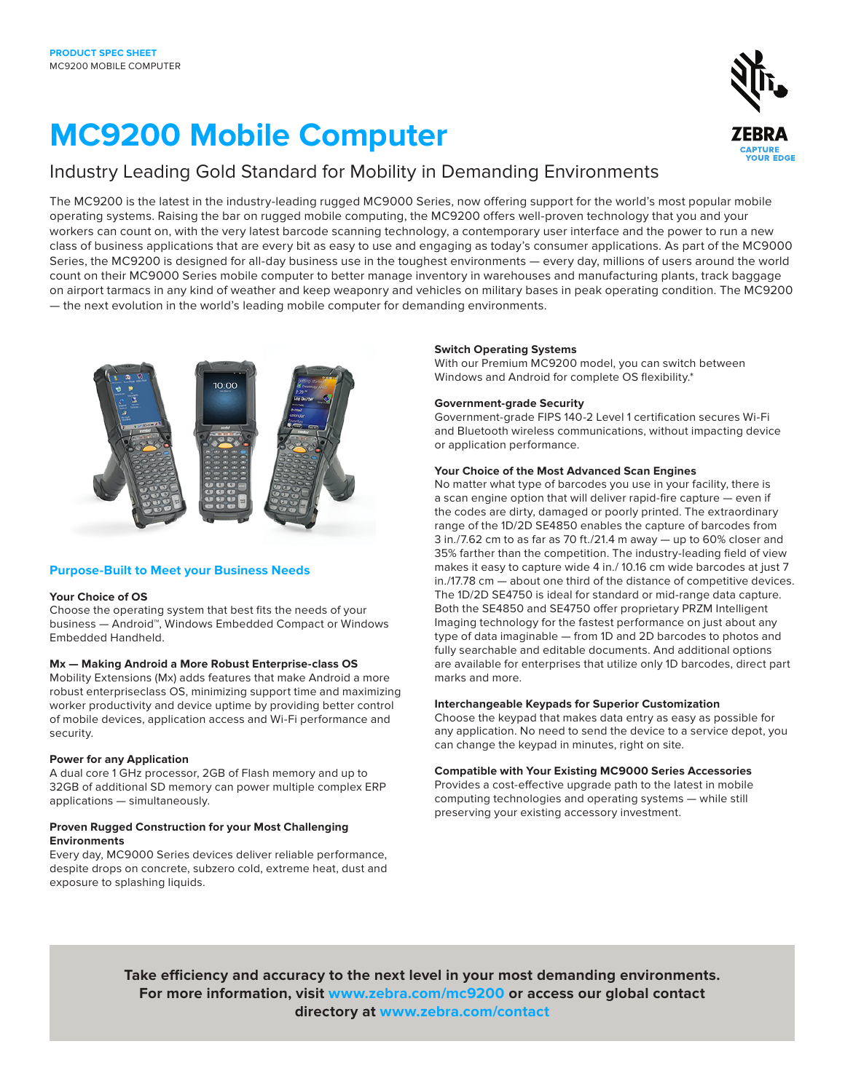# **MC9200 Mobile Computer**

### Industry Leading Gold Standard for Mobility in Demanding Environments

The MC9200 is the latest in the industry-leading rugged MC9000 Series, now offering support for the world's most popular mobile operating systems. Raising the bar on rugged mobile computing, the MC9200 offers well-proven technology that you and your workers can count on, with the very latest barcode scanning technology, a contemporary user interface and the power to run a new class of business applications that are every bit as easy to use and engaging as today's consumer applications. As part of the MC9000 Series, the MC9200 is designed for all-day business use in the toughest environments — every day, millions of users around the world count on their MC9000 Series mobile computer to better manage inventory in warehouses and manufacturing plants, track baggage on airport tarmacs in any kind of weather and keep weaponry and vehicles on military bases in peak operating condition. The MC9200 — the next evolution in the world's leading mobile computer for demanding environments.



#### **Purpose-Built to Meet your Business Needs**

#### **Your Choice of OS**

Choose the operating system that best fits the needs of your business — Android™, Windows Embedded Compact or Windows Embedded Handheld.

#### **Mx — Making Android a More Robust Enterprise-class OS**

Mobility Extensions (Mx) adds features that make Android a more robust enterpriseclass OS, minimizing support time and maximizing worker productivity and device uptime by providing better control of mobile devices, application access and Wi-Fi performance and security.

#### **Power for any Application**

A dual core 1 GHz processor, 2GB of Flash memory and up to 32GB of additional SD memory can power multiple complex ERP applications — simultaneously.

#### **Proven Rugged Construction for your Most Challenging Environments**

Every day, MC9000 Series devices deliver reliable performance, despite drops on concrete, subzero cold, extreme heat, dust and exposure to splashing liquids.

#### **Switch Operating Systems**

With our Premium MC9200 model, you can switch between Windows and Android for complete OS flexibility.\*

#### **Government-grade Security**

Government-grade FIPS 140-2 Level 1 certification secures Wi-Fi and Bluetooth wireless communications, without impacting device or application performance.

#### **Your Choice of the Most Advanced Scan Engines**

No matter what type of barcodes you use in your facility, there is a scan engine option that will deliver rapid-fire capture — even if the codes are dirty, damaged or poorly printed. The extraordinary range of the 1D/2D SE4850 enables the capture of barcodes from 3 in./7.62 cm to as far as 70 ft./21.4 m away — up to 60% closer and 35% farther than the competition. The industry-leading field of view makes it easy to capture wide 4 in./ 10.16 cm wide barcodes at just 7 in./17.78 cm — about one third of the distance of competitive devices. The 1D/2D SE4750 is ideal for standard or mid-range data capture. Both the SE4850 and SE4750 offer proprietary PRZM Intelligent Imaging technology for the fastest performance on just about any type of data imaginable — from 1D and 2D barcodes to photos and fully searchable and editable documents. And additional options are available for enterprises that utilize only 1D barcodes, direct part marks and more.

#### **Interchangeable Keypads for Superior Customization**

Choose the keypad that makes data entry as easy as possible for any application. No need to send the device to a service depot, you can change the keypad in minutes, right on site.

#### **Compatible with Your Existing MC9000 Series Accessories**

Provides a cost-effective upgrade path to the latest in mobile computing technologies and operating systems — while still preserving your existing accessory investment.

**Take efficiency and accuracy to the next level in your most demanding environments. For more information, visit www.zebra.com/mc9200 or access our global contact directory at www.zebra.com/contact**